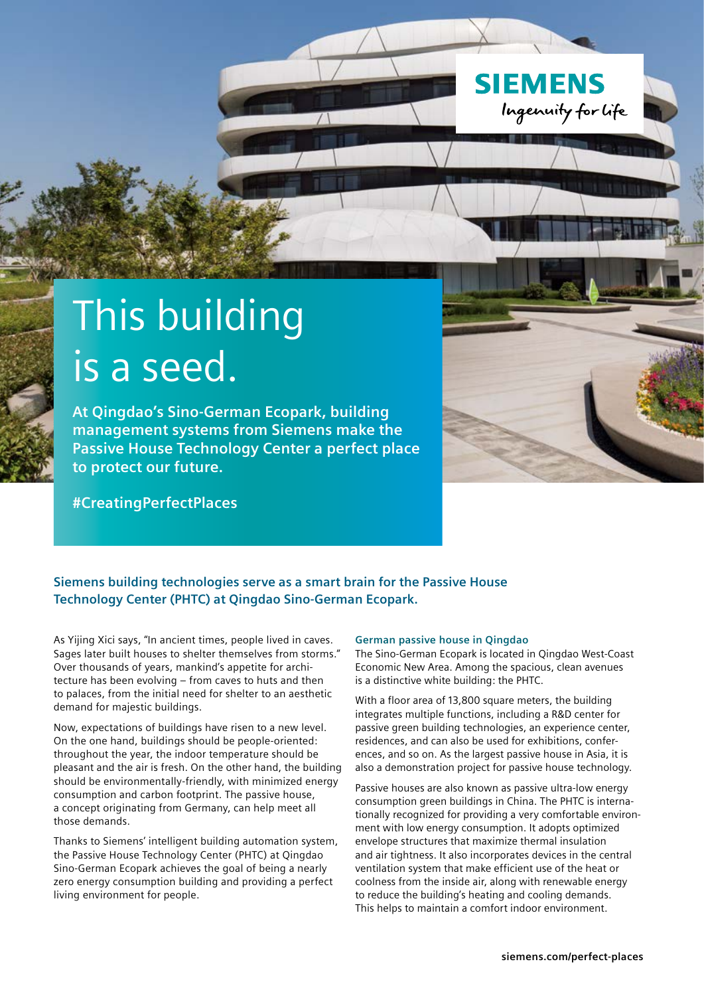# This building is a seed.

**At Qingdao's Sino-German Ecopark, building management systems from Siemens make the Passive House Technology Center a perfect place to protect our future.**

**#CreatingPerfectPlaces**



As Yijing Xici says, "In ancient times, people lived in caves. Sages later built houses to shelter themselves from storms." Over thousands of years, mankind's appetite for architecture has been evolving – from caves to huts and then to palaces, from the initial need for shelter to an aesthetic demand for majestic buildings.

Now, expectations of buildings have risen to a new level. On the one hand, buildings should be people-oriented: throughout the year, the indoor temperature should be pleasant and the air is fresh. On the other hand, the building should be environmentally-friendly, with minimized energy consumption and carbon footprint. The passive house, a concept originating from Germany, can help meet all those demands.

Thanks to Siemens' intelligent building automation system, the Passive House Technology Center (PHTC) at Qingdao Sino-German Ecopark achieves the goal of being a nearly zero energy consumption building and providing a perfect living environment for people.

### **German passive house in Qingdao**

The Sino-German Ecopark is located in Qingdao West-Coast Economic New Area. Among the spacious, clean avenues is a distinctive white building: the PHTC.

**SIEMENS** 

Ingenuity for Life

With a floor area of 13,800 square meters, the building integrates multiple functions, including a R&D center for passive green building technologies, an experience center, residences, and can also be used for exhibitions, conferences, and so on. As the largest passive house in Asia, it is also a demonstration project for passive house technology.

Passive houses are also known as passive ultra-low energy consumption green buildings in China. The PHTC is internationally recognized for providing a very comfortable environment with low energy consumption. It adopts optimized envelope structures that maximize thermal insulation and air tightness. It also incorporates devices in the central ventilation system that make efficient use of the heat or coolness from the inside air, along with renewable energy to reduce the building's heating and cooling demands. This helps to maintain a comfort indoor environment.